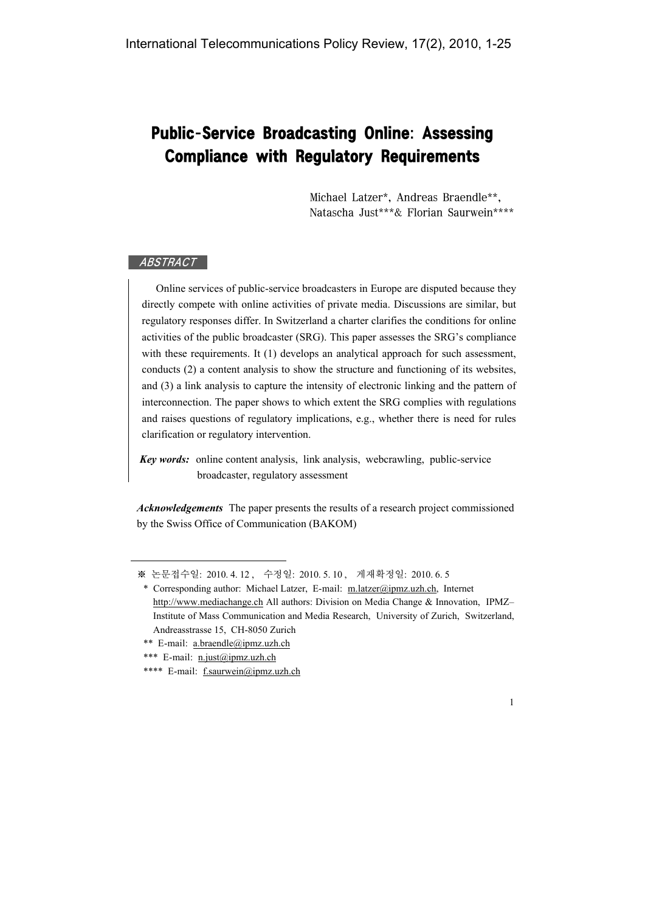# Public-Service Broadcasting Online: Assessing Compliance with Regulatory Requirements

Michael Latzer\*, Andreas Braendle\*\*, Natascha Just\*\*\*& Florian Saurwein\*\*\*\*

## ABSTRACT

Online services of public-service broadcasters in Europe are disputed because they directly compete with online activities of private media. Discussions are similar, but regulatory responses differ. In Switzerland a charter clarifies the conditions for online activities of the public broadcaster (SRG). This paper assesses the SRG's compliance with these requirements. It (1) develops an analytical approach for such assessment, conducts (2) a content analysis to show the structure and functioning of its websites, and (3) a link analysis to capture the intensity of electronic linking and the pattern of interconnection. The paper shows to which extent the SRG complies with regulations and raises questions of regulatory implications, e.g., whether there is need for rules clarification or regulatory intervention.

*Key words:* online content analysis, link analysis, webcrawling, public-service broadcaster, regulatory assessment

*Acknowledgements* The paper presents the results of a research project commissioned by the Swiss Office of Communication (BAKOM)

<sup>※</sup> 논문접수일: 2010. 4. 12 , 수정일: 2010. 5. 10 , 게재확정일: 2010. 6. 5

<sup>\*</sup> Corresponding author: Michael Latzer, E-mail: m.latzer@ipmz.uzh.ch, Internet http://www.mediachange.ch All authors: Division on Media Change & Innovation, IPMZ-Institute of Mass Communication and Media Research, University of Zurich, Switzerland, Andreasstrasse 15, CH-8050 Zurich

<sup>\*\*</sup> E-mail: a.braendle@ipmz.uzh.ch

<sup>\*\*\*</sup> E-mail: n.just@ipmz.uzh.ch

<sup>\*\*\*\*</sup> E-mail: f.saurwein@ipmz.uzh.ch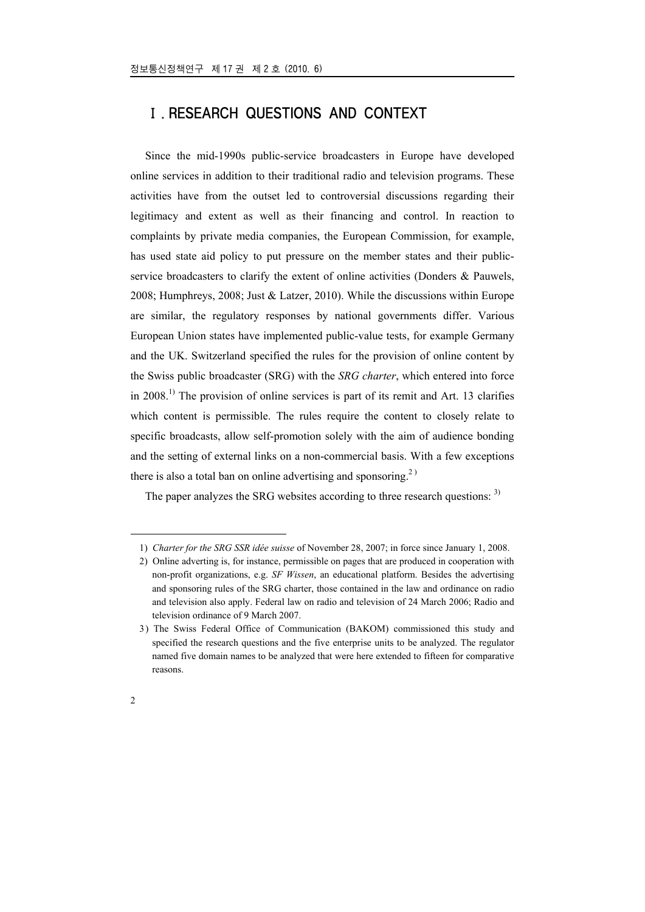# Ⅰ. RESEARCH QUESTIONS AND CONTEXT

Since the mid-1990s public-service broadcasters in Europe have developed online services in addition to their traditional radio and television programs. These activities have from the outset led to controversial discussions regarding their legitimacy and extent as well as their financing and control. In reaction to complaints by private media companies, the European Commission, for example, has used state aid policy to put pressure on the member states and their publicservice broadcasters to clarify the extent of online activities (Donders & Pauwels, 2008; Humphreys, 2008; Just & Latzer, 2010). While the discussions within Europe are similar, the regulatory responses by national governments differ. Various European Union states have implemented public-value tests, for example Germany and the UK. Switzerland specified the rules for the provision of online content by the Swiss public broadcaster (SRG) with the *SRG charter*, which entered into force in  $2008<sup>1</sup>$ . The provision of online services is part of its remit and Art. 13 clarifies which content is permissible. The rules require the content to closely relate to specific broadcasts, allow self-promotion solely with the aim of audience bonding and the setting of external links on a non-commercial basis. With a few exceptions there is also a total ban on online advertising and sponsoring.<sup>2)</sup>

The paper analyzes the SRG websites according to three research questions: <sup>3)</sup>

<u>.</u>

<sup>1)</sup> *Charter for the SRG SSR idée suisse* of November 28, 2007; in force since January 1, 2008.

<sup>2)</sup> Online adverting is, for instance, permissible on pages that are produced in cooperation with non-profit organizations, e.g. *SF Wissen*, an educational platform. Besides the advertising and sponsoring rules of the SRG charter, those contained in the law and ordinance on radio and television also apply. Federal law on radio and television of 24 March 2006; Radio and television ordinance of 9 March 2007.

<sup>3)</sup> The Swiss Federal Office of Communication (BAKOM) commissioned this study and specified the research questions and the five enterprise units to be analyzed. The regulator named five domain names to be analyzed that were here extended to fifteen for comparative reasons.

<sup>2</sup>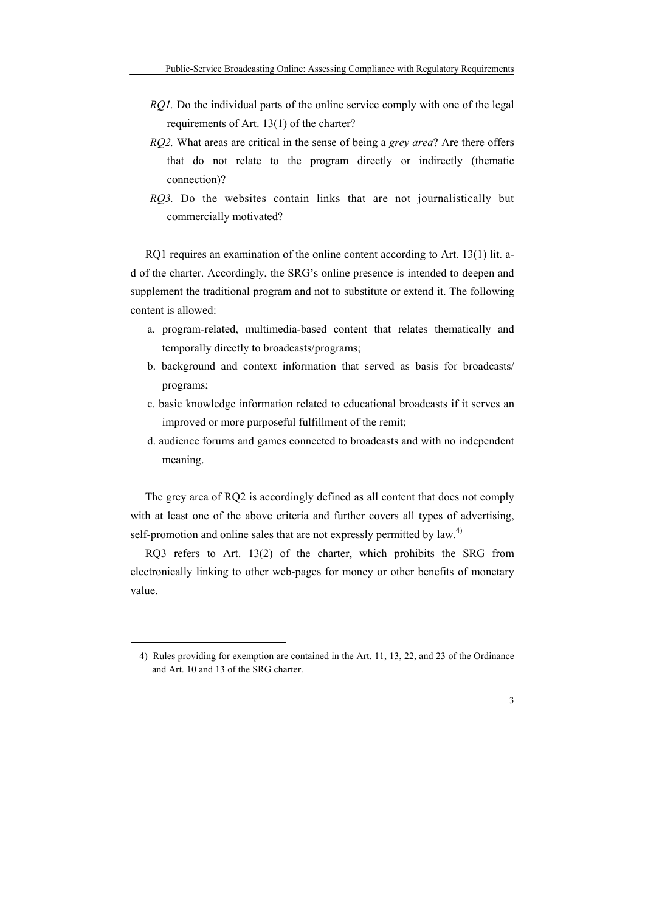- *RQ1*. Do the individual parts of the online service comply with one of the legal requirements of Art. 13(1) of the charter?
- *RQ2.* What areas are critical in the sense of being a *grey area*? Are there offers that do not relate to the program directly or indirectly (thematic connection)?
- *RQ3.* Do the websites contain links that are not journalistically but commercially motivated?

RQ1 requires an examination of the online content according to Art. 13(1) lit. ad of the charter. Accordingly, the SRG's online presence is intended to deepen and supplement the traditional program and not to substitute or extend it. The following content is allowed:

- a. program-related, multimedia-based content that relates thematically and temporally directly to broadcasts/programs;
- b. background and context information that served as basis for broadcasts/ programs;
- c. basic knowledge information related to educational broadcasts if it serves an improved or more purposeful fulfillment of the remit;
- d. audience forums and games connected to broadcasts and with no independent meaning.

The grey area of RQ2 is accordingly defined as all content that does not comply with at least one of the above criteria and further covers all types of advertising, self-promotion and online sales that are not expressly permitted by law.<sup>4)</sup>

RQ3 refers to Art. 13(2) of the charter, which prohibits the SRG from electronically linking to other web-pages for money or other benefits of monetary value.

1

<sup>4)</sup> Rules providing for exemption are contained in the Art. 11, 13, 22, and 23 of the Ordinance and Art. 10 and 13 of the SRG charter.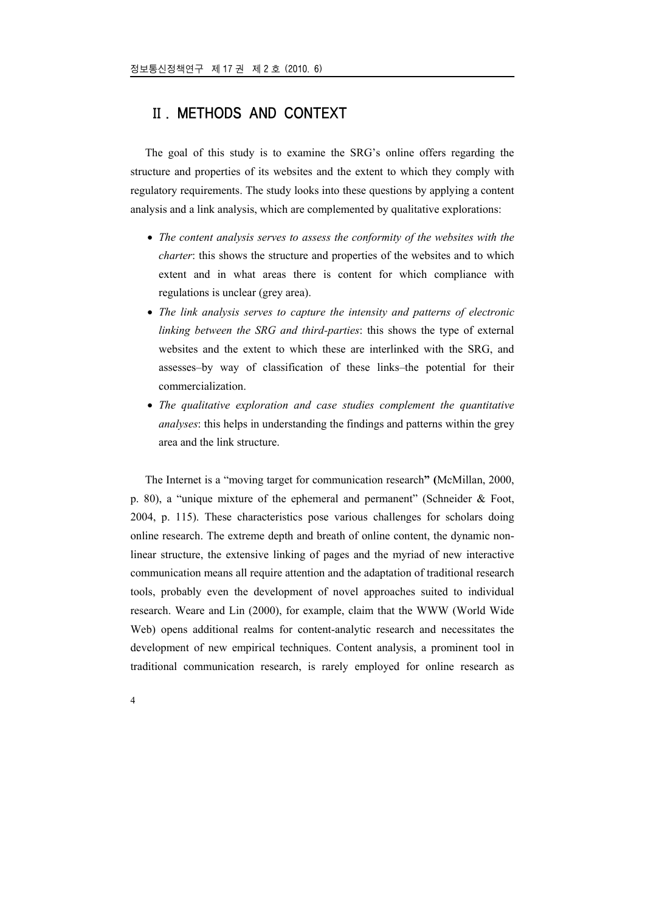# Ⅱ. METHODS AND CONTEXT

The goal of this study is to examine the SRG's online offers regarding the structure and properties of its websites and the extent to which they comply with regulatory requirements. The study looks into these questions by applying a content analysis and a link analysis, which are complemented by qualitative explorations:

- *The content analysis serves to assess the conformity of the websites with the charter*: this shows the structure and properties of the websites and to which extent and in what areas there is content for which compliance with regulations is unclear (grey area).
- *The link analysis serves to capture the intensity and patterns of electronic linking between the SRG and third-parties*: this shows the type of external websites and the extent to which these are interlinked with the SRG, and assesses–by way of classification of these links–the potential for their commercialization.
- *The qualitative exploration and case studies complement the quantitative analyses*: this helps in understanding the findings and patterns within the grey area and the link structure.

The Internet is a "moving target for communication research**" (**McMillan, 2000, p. 80), a "unique mixture of the ephemeral and permanent" (Schneider  $\&$  Foot, 2004, p. 115). These characteristics pose various challenges for scholars doing online research. The extreme depth and breath of online content, the dynamic nonlinear structure, the extensive linking of pages and the myriad of new interactive communication means all require attention and the adaptation of traditional research tools, probably even the development of novel approaches suited to individual research. Weare and Lin (2000), for example, claim that the WWW (World Wide Web) opens additional realms for content-analytic research and necessitates the development of new empirical techniques. Content analysis, a prominent tool in traditional communication research, is rarely employed for online research as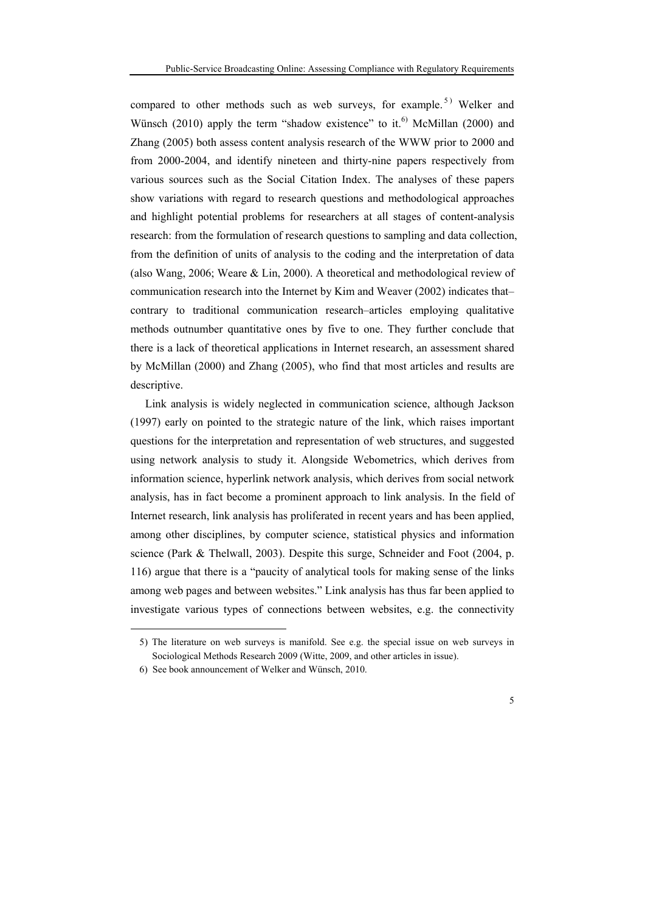compared to other methods such as web surveys, for example.<sup>5)</sup> Welker and Wünsch (2010) apply the term "shadow existence" to it.<sup>6)</sup> McMillan (2000) and Zhang (2005) both assess content analysis research of the WWW prior to 2000 and from 2000-2004, and identify nineteen and thirty-nine papers respectively from various sources such as the Social Citation Index. The analyses of these papers show variations with regard to research questions and methodological approaches and highlight potential problems for researchers at all stages of content-analysis research: from the formulation of research questions to sampling and data collection, from the definition of units of analysis to the coding and the interpretation of data (also Wang, 2006; Weare & Lin, 2000). A theoretical and methodological review of communication research into the Internet by Kim and Weaver (2002) indicates that– contrary to traditional communication research–articles employing qualitative methods outnumber quantitative ones by five to one. They further conclude that there is a lack of theoretical applications in Internet research, an assessment shared by McMillan (2000) and Zhang (2005), who find that most articles and results are descriptive.

Link analysis is widely neglected in communication science, although Jackson (1997) early on pointed to the strategic nature of the link, which raises important questions for the interpretation and representation of web structures, and suggested using network analysis to study it. Alongside Webometrics, which derives from information science, hyperlink network analysis, which derives from social network analysis, has in fact become a prominent approach to link analysis. In the field of Internet research, link analysis has proliferated in recent years and has been applied, among other disciplines, by computer science, statistical physics and information science (Park & Thelwall, 2003). Despite this surge, Schneider and Foot (2004, p. 116) argue that there is a "paucity of analytical tools for making sense of the links among web pages and between websites." Link analysis has thus far been applied to investigate various types of connections between websites, e.g. the connectivity

<u>.</u>

<sup>5)</sup> The literature on web surveys is manifold. See e.g. the special issue on web surveys in Sociological Methods Research 2009 (Witte, 2009, and other articles in issue).

<sup>6)</sup> See book announcement of Welker and Wünsch, 2010.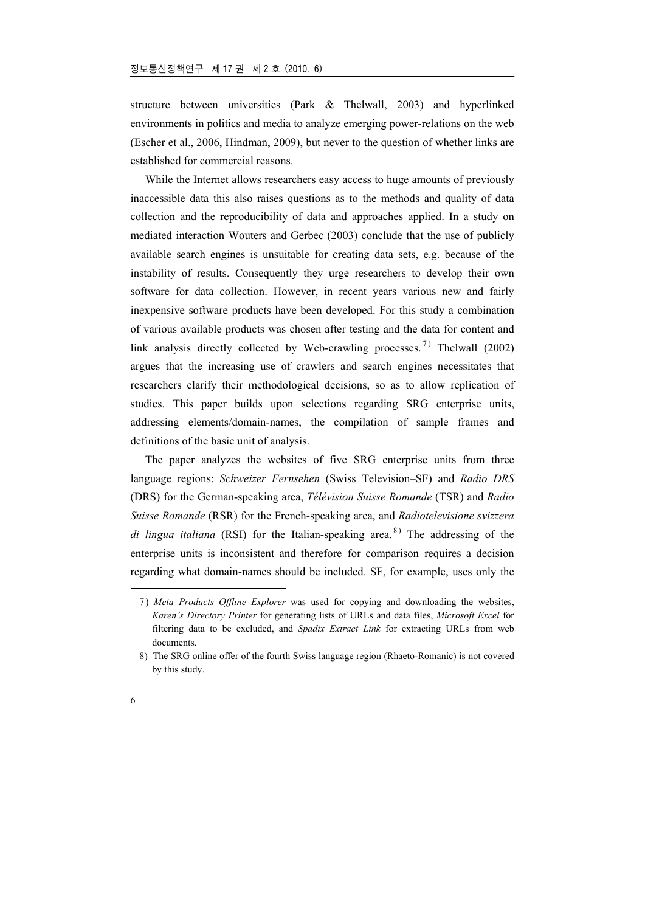structure between universities (Park & Thelwall, 2003) and hyperlinked environments in politics and media to analyze emerging power-relations on the web (Escher et al., 2006, Hindman, 2009), but never to the question of whether links are established for commercial reasons.

While the Internet allows researchers easy access to huge amounts of previously inaccessible data this also raises questions as to the methods and quality of data collection and the reproducibility of data and approaches applied. In a study on mediated interaction Wouters and Gerbec (2003) conclude that the use of publicly available search engines is unsuitable for creating data sets, e.g. because of the instability of results. Consequently they urge researchers to develop their own software for data collection. However, in recent years various new and fairly inexpensive software products have been developed. For this study a combination of various available products was chosen after testing and the data for content and link analysis directly collected by Web-crawling processes.<sup>7)</sup> Thelwall (2002) argues that the increasing use of crawlers and search engines necessitates that researchers clarify their methodological decisions, so as to allow replication of studies. This paper builds upon selections regarding SRG enterprise units, addressing elements/domain-names, the compilation of sample frames and definitions of the basic unit of analysis.

The paper analyzes the websites of five SRG enterprise units from three language regions: *Schweizer Fernsehen* (Swiss Television–SF) and *Radio DRS* (DRS) for the German-speaking area, *Télévision Suisse Romande* (TSR) and *Radio Suisse Romande* (RSR) for the French-speaking area, and *Radiotelevisione svizzera di lingua italiana* (RSI) for the Italian-speaking area.<sup>8)</sup> The addressing of the enterprise units is inconsistent and therefore–for comparison–requires a decision regarding what domain-names should be included. SF, for example, uses only the

<sup>7)</sup> *Meta Products Offline Explorer* was used for copying and downloading the websites, *Karen's Directory Printer* for generating lists of URLs and data files, *Microsoft Excel* for filtering data to be excluded, and *Spadix Extract Link* for extracting URLs from web documents.

<sup>8)</sup> The SRG online offer of the fourth Swiss language region (Rhaeto-Romanic) is not covered by this study.

<sup>6</sup>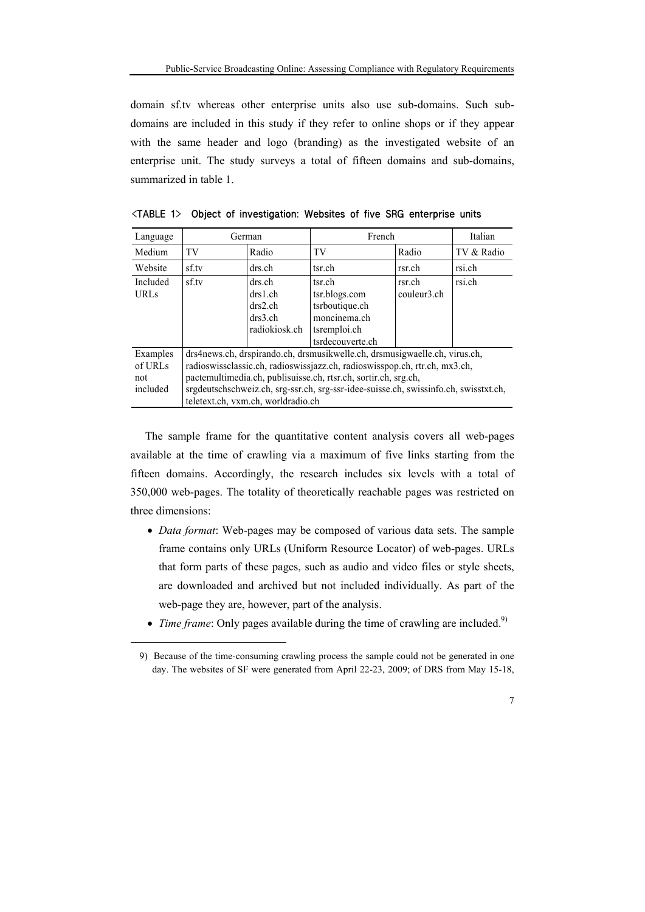domain sf.tv whereas other enterprise units also use sub-domains. Such subdomains are included in this study if they refer to online shops or if they appear with the same header and logo (branding) as the investigated website of an enterprise unit. The study surveys a total of fifteen domains and sub-domains, summarized in table 1.

| Language    | German                                                                               |               | French           | Italian     |            |  |  |  |
|-------------|--------------------------------------------------------------------------------------|---------------|------------------|-------------|------------|--|--|--|
| Medium      | TV                                                                                   | Radio         | TV               | Radio       | TV & Radio |  |  |  |
| Website     | sf.tv                                                                                | drs.ch        | tsr.ch           | rsr.ch      | rsi.ch     |  |  |  |
| Included    | sf.tv                                                                                | drs.ch        | tsr.ch           | rsr.ch      | rsi.ch     |  |  |  |
| <b>URLs</b> |                                                                                      | drs1.ch       | tsr.blogs.com    | couleur3.ch |            |  |  |  |
|             |                                                                                      | drs2.ch       | tsrboutique.ch   |             |            |  |  |  |
|             |                                                                                      | drs3.ch       | moncinema.ch     |             |            |  |  |  |
|             |                                                                                      | radiokiosk.ch | tsremploi.ch     |             |            |  |  |  |
|             |                                                                                      |               | tsrdecouverte.ch |             |            |  |  |  |
| Examples    | drs4news.ch, drspirando.ch, drsmusikwelle.ch, drsmusigwaelle.ch, virus.ch,           |               |                  |             |            |  |  |  |
| of URLs     | radioswissclassic.ch, radioswissjazz.ch, radioswisspop.ch, rtr.ch, mx3.ch,           |               |                  |             |            |  |  |  |
| not         | pactemultimedia.ch, publisuisse.ch, rtsr.ch, sortir.ch, srg.ch,                      |               |                  |             |            |  |  |  |
| included    | srgdeutschschweiz.ch, srg-ssr.ch, srg-ssr-idee-suisse.ch, swissinfo.ch, swisstxt.ch, |               |                  |             |            |  |  |  |
|             | teletext.ch, vxm.ch, worldradio.ch                                                   |               |                  |             |            |  |  |  |

<TABLE 1> Object of investigation: Websites of five SRG enterprise units

The sample frame for the quantitative content analysis covers all web-pages available at the time of crawling via a maximum of five links starting from the fifteen domains. Accordingly, the research includes six levels with a total of 350,000 web-pages. The totality of theoretically reachable pages was restricted on three dimensions:

- *Data format*: Web-pages may be composed of various data sets. The sample frame contains only URLs (Uniform Resource Locator) of web-pages. URLs that form parts of these pages, such as audio and video files or style sheets, are downloaded and archived but not included individually. As part of the web-page they are, however, part of the analysis.
- *Time frame*: Only pages available during the time of crawling are included.<sup>9)</sup>

<sup>9)</sup> Because of the time-consuming crawling process the sample could not be generated in one day. The websites of SF were generated from April 22-23, 2009; of DRS from May 15-18,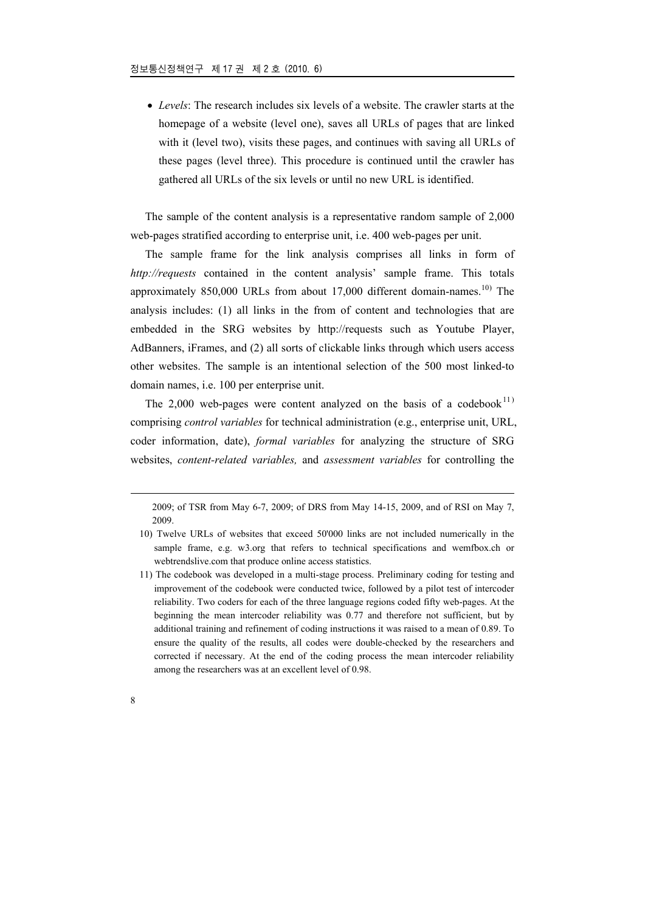• *Levels*: The research includes six levels of a website. The crawler starts at the homepage of a website (level one), saves all URLs of pages that are linked with it (level two), visits these pages, and continues with saving all URLs of these pages (level three). This procedure is continued until the crawler has gathered all URLs of the six levels or until no new URL is identified.

The sample of the content analysis is a representative random sample of 2,000 web-pages stratified according to enterprise unit, i.e. 400 web-pages per unit.

The sample frame for the link analysis comprises all links in form of *http://requests* contained in the content analysis' sample frame. This totals approximately 850,000 URLs from about 17,000 different domain-names.<sup>10)</sup> The analysis includes: (1) all links in the from of content and technologies that are embedded in the SRG websites by http://requests such as Youtube Player, AdBanners, iFrames, and (2) all sorts of clickable links through which users access other websites. The sample is an intentional selection of the 500 most linked-to domain names, i.e. 100 per enterprise unit.

The 2,000 web-pages were content analyzed on the basis of a codebook $^{11}$ ) comprising *control variables* for technical administration (e.g., enterprise unit, URL, coder information, date), *formal variables* for analyzing the structure of SRG websites, *content-related variables,* and *assessment variables* for controlling the

2009; of TSR from May 6-7, 2009; of DRS from May 14-15, 2009, and of RSI on May 7, 2009.

<u>.</u>

<sup>10)</sup> Twelve URLs of websites that exceed 50'000 links are not included numerically in the sample frame, e.g. w3.org that refers to technical specifications and wemfbox.ch or webtrendslive.com that produce online access statistics.

<sup>11)</sup> The codebook was developed in a multi-stage process. Preliminary coding for testing and improvement of the codebook were conducted twice, followed by a pilot test of intercoder reliability. Two coders for each of the three language regions coded fifty web-pages. At the beginning the mean intercoder reliability was 0.77 and therefore not sufficient, but by additional training and refinement of coding instructions it was raised to a mean of 0.89. To ensure the quality of the results, all codes were double-checked by the researchers and corrected if necessary. At the end of the coding process the mean intercoder reliability among the researchers was at an excellent level of 0.98.

<sup>8</sup>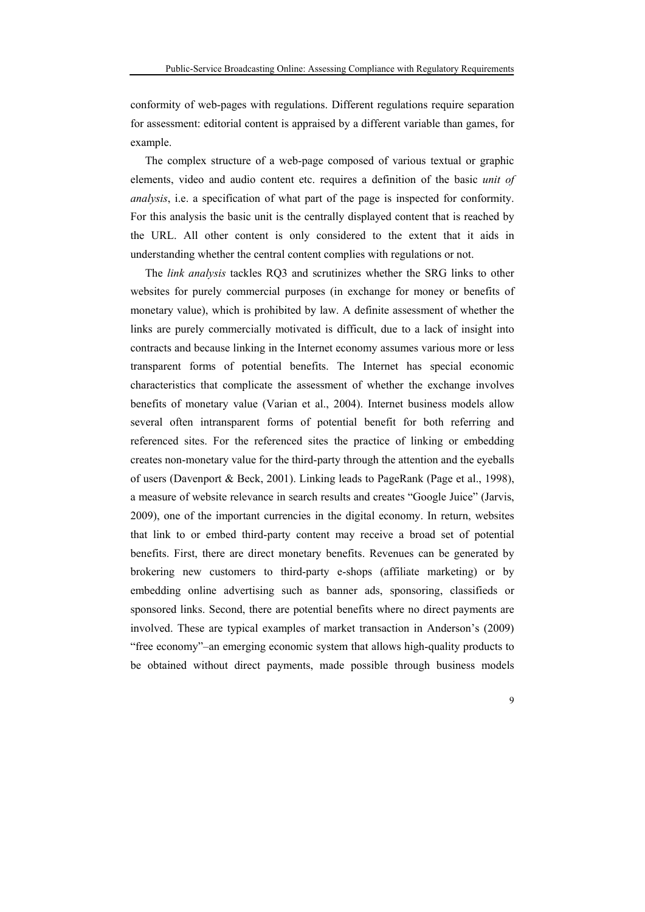conformity of web-pages with regulations. Different regulations require separation for assessment: editorial content is appraised by a different variable than games, for example.

The complex structure of a web-page composed of various textual or graphic elements, video and audio content etc. requires a definition of the basic *unit of analysis*, i.e. a specification of what part of the page is inspected for conformity. For this analysis the basic unit is the centrally displayed content that is reached by the URL. All other content is only considered to the extent that it aids in understanding whether the central content complies with regulations or not.

The *link analysis* tackles RQ3 and scrutinizes whether the SRG links to other websites for purely commercial purposes (in exchange for money or benefits of monetary value), which is prohibited by law. A definite assessment of whether the links are purely commercially motivated is difficult, due to a lack of insight into contracts and because linking in the Internet economy assumes various more or less transparent forms of potential benefits. The Internet has special economic characteristics that complicate the assessment of whether the exchange involves benefits of monetary value (Varian et al., 2004). Internet business models allow several often intransparent forms of potential benefit for both referring and referenced sites. For the referenced sites the practice of linking or embedding creates non-monetary value for the third-party through the attention and the eyeballs of users (Davenport & Beck, 2001). Linking leads to PageRank (Page et al., 1998), a measure of website relevance in search results and creates "Google Juice" (Jarvis, 2009), one of the important currencies in the digital economy. In return, websites that link to or embed third-party content may receive a broad set of potential benefits. First, there are direct monetary benefits. Revenues can be generated by brokering new customers to third-party e-shops (affiliate marketing) or by embedding online advertising such as banner ads, sponsoring, classifieds or sponsored links. Second, there are potential benefits where no direct payments are involved. These are typical examples of market transaction in Anderson's (2009) "free economy"–an emerging economic system that allows high-quality products to be obtained without direct payments, made possible through business models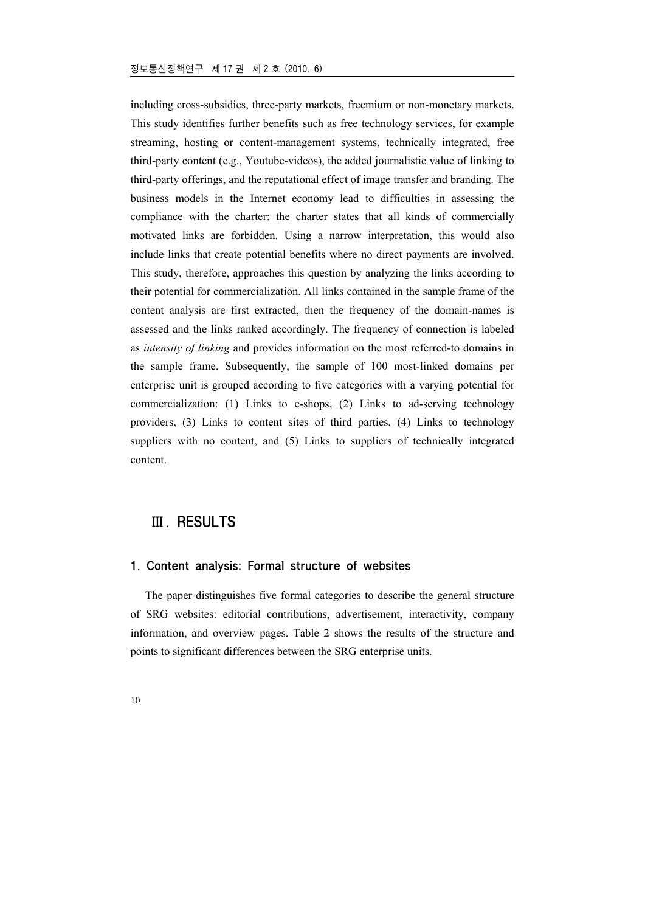including cross-subsidies, three-party markets, freemium or non-monetary markets. This study identifies further benefits such as free technology services, for example streaming, hosting or content-management systems, technically integrated, free third-party content (e.g., Youtube-videos), the added journalistic value of linking to third-party offerings, and the reputational effect of image transfer and branding. The business models in the Internet economy lead to difficulties in assessing the compliance with the charter: the charter states that all kinds of commercially motivated links are forbidden. Using a narrow interpretation, this would also include links that create potential benefits where no direct payments are involved. This study, therefore, approaches this question by analyzing the links according to their potential for commercialization. All links contained in the sample frame of the content analysis are first extracted, then the frequency of the domain-names is assessed and the links ranked accordingly. The frequency of connection is labeled as *intensity of linking* and provides information on the most referred-to domains in the sample frame. Subsequently, the sample of 100 most-linked domains per enterprise unit is grouped according to five categories with a varying potential for commercialization: (1) Links to e-shops, (2) Links to ad-serving technology providers, (3) Links to content sites of third parties, (4) Links to technology suppliers with no content, and (5) Links to suppliers of technically integrated content.

# Ⅲ. RESULTS

### 1. Content analysis: Formal structure of websites

The paper distinguishes five formal categories to describe the general structure of SRG websites: editorial contributions, advertisement, interactivity, company information, and overview pages. Table 2 shows the results of the structure and points to significant differences between the SRG enterprise units.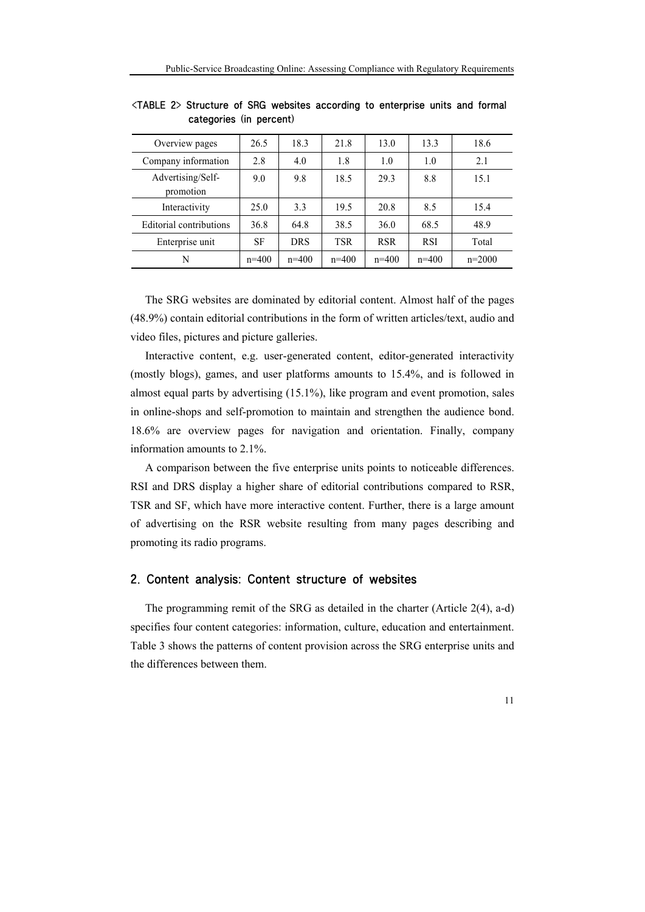| Overview pages                 | 26.5    | 18.3       | 21.8       | 13.0       | 13.3       | 18.6     |
|--------------------------------|---------|------------|------------|------------|------------|----------|
| Company information            | 2.8     | 4.0        | 1.8        | 1.0        | 1.0        | 2.1      |
| Advertising/Self-<br>promotion | 9.0     | 9.8        | 18.5       | 29.3       | 8.8        | 15.1     |
| Interactivity                  | 25.0    | 3.3        | 19.5       | 20.8       | 8.5        | 15.4     |
| Editorial contributions        | 36.8    | 64.8       | 38.5       | 36.0       | 68.5       | 48.9     |
| Enterprise unit                | SF      | <b>DRS</b> | <b>TSR</b> | <b>RSR</b> | <b>RSI</b> | Total    |
| N                              | $n=400$ | $n=400$    | $n=400$    | $n=400$    | $n=400$    | $n=2000$ |

<TABLE 2> Structure of SRG websites according to enterprise units and formal categories (in percent)

The SRG websites are dominated by editorial content. Almost half of the pages (48.9%) contain editorial contributions in the form of written articles/text, audio and video files, pictures and picture galleries.

Interactive content, e.g. user-generated content, editor-generated interactivity (mostly blogs), games, and user platforms amounts to 15.4%, and is followed in almost equal parts by advertising (15.1%), like program and event promotion, sales in online-shops and self-promotion to maintain and strengthen the audience bond. 18.6% are overview pages for navigation and orientation. Finally, company information amounts to 2.1%.

A comparison between the five enterprise units points to noticeable differences. RSI and DRS display a higher share of editorial contributions compared to RSR, TSR and SF, which have more interactive content. Further, there is a large amount of advertising on the RSR website resulting from many pages describing and promoting its radio programs.

## 2. Content analysis: Content structure of websites

The programming remit of the SRG as detailed in the charter (Article 2(4), a-d) specifies four content categories: information, culture, education and entertainment. Table 3 shows the patterns of content provision across the SRG enterprise units and the differences between them.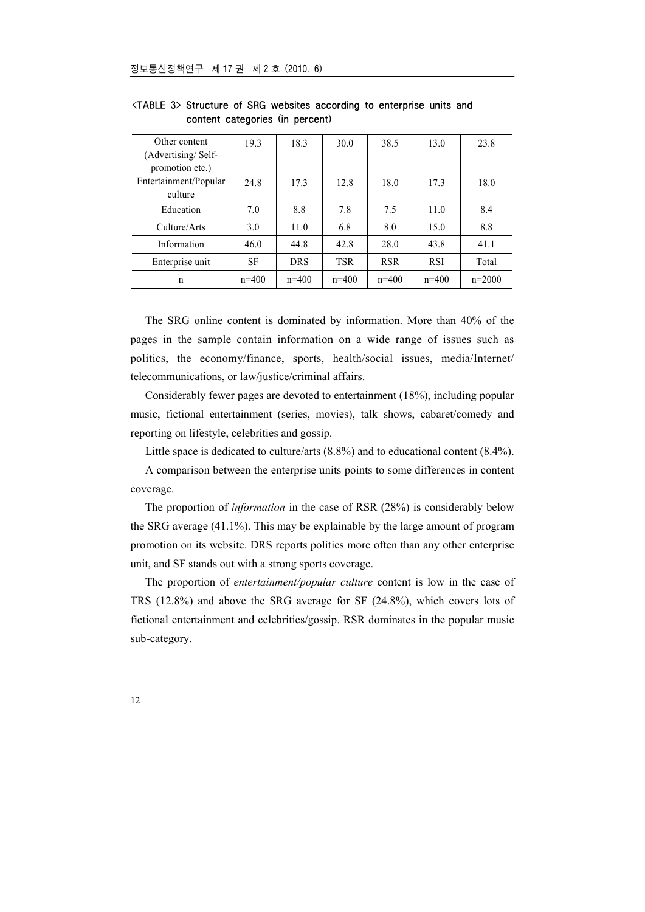| Other content<br>(Advertising/Self-<br>promotion etc.) | 19.3    | 18.3       | 30.0       | 38.5       | 13.0       | 23.8     |
|--------------------------------------------------------|---------|------------|------------|------------|------------|----------|
| Entertainment/Popular<br>culture                       | 24.8    | 17.3       | 12.8       | 18.0       | 17.3       | 18.0     |
| Education                                              | 7.0     | 8.8        | 7.8        | 7.5        | 11.0       | 8.4      |
| Culture/Arts                                           | 3.0     | 11.0       | 6.8        | 8.0        | 15.0       | 8.8      |
| Information                                            | 46.0    | 44.8       | 42.8       | 28.0       | 43.8       | 41.1     |
| Enterprise unit                                        | SF      | <b>DRS</b> | <b>TSR</b> | <b>RSR</b> | <b>RSI</b> | Total    |
| n                                                      | $n=400$ | $n=400$    | $n=400$    | $n=400$    | $n=400$    | $n=2000$ |

<TABLE 3> Structure of SRG websites according to enterprise units and content categories (in percent)

The SRG online content is dominated by information. More than 40% of the pages in the sample contain information on a wide range of issues such as politics, the economy/finance, sports, health/social issues, media/Internet/ telecommunications, or law/justice/criminal affairs.

Considerably fewer pages are devoted to entertainment (18%), including popular music, fictional entertainment (series, movies), talk shows, cabaret/comedy and reporting on lifestyle, celebrities and gossip.

Little space is dedicated to culture/arts (8.8%) and to educational content (8.4%).

A comparison between the enterprise units points to some differences in content coverage.

The proportion of *information* in the case of RSR (28%) is considerably below the SRG average (41.1%). This may be explainable by the large amount of program promotion on its website. DRS reports politics more often than any other enterprise unit, and SF stands out with a strong sports coverage.

The proportion of *entertainment/popular culture* content is low in the case of TRS (12.8%) and above the SRG average for SF (24.8%), which covers lots of fictional entertainment and celebrities/gossip. RSR dominates in the popular music sub-category.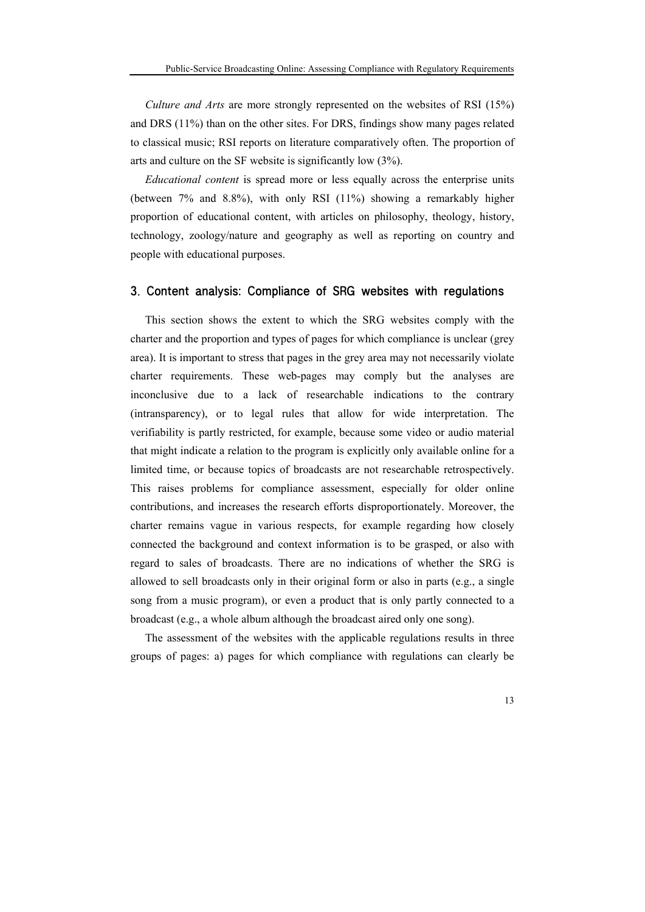*Culture and Arts* are more strongly represented on the websites of RSI (15%) and DRS (11%) than on the other sites. For DRS, findings show many pages related to classical music; RSI reports on literature comparatively often. The proportion of arts and culture on the SF website is significantly low (3%).

*Educational content* is spread more or less equally across the enterprise units (between 7% and 8.8%), with only RSI (11%) showing a remarkably higher proportion of educational content, with articles on philosophy, theology, history, technology, zoology/nature and geography as well as reporting on country and people with educational purposes.

### 3. Content analysis: Compliance of SRG websites with regulations

This section shows the extent to which the SRG websites comply with the charter and the proportion and types of pages for which compliance is unclear (grey area). It is important to stress that pages in the grey area may not necessarily violate charter requirements. These web-pages may comply but the analyses are inconclusive due to a lack of researchable indications to the contrary (intransparency), or to legal rules that allow for wide interpretation. The verifiability is partly restricted, for example, because some video or audio material that might indicate a relation to the program is explicitly only available online for a limited time, or because topics of broadcasts are not researchable retrospectively. This raises problems for compliance assessment, especially for older online contributions, and increases the research efforts disproportionately. Moreover, the charter remains vague in various respects, for example regarding how closely connected the background and context information is to be grasped, or also with regard to sales of broadcasts. There are no indications of whether the SRG is allowed to sell broadcasts only in their original form or also in parts (e.g., a single song from a music program), or even a product that is only partly connected to a broadcast (e.g., a whole album although the broadcast aired only one song).

The assessment of the websites with the applicable regulations results in three groups of pages: a) pages for which compliance with regulations can clearly be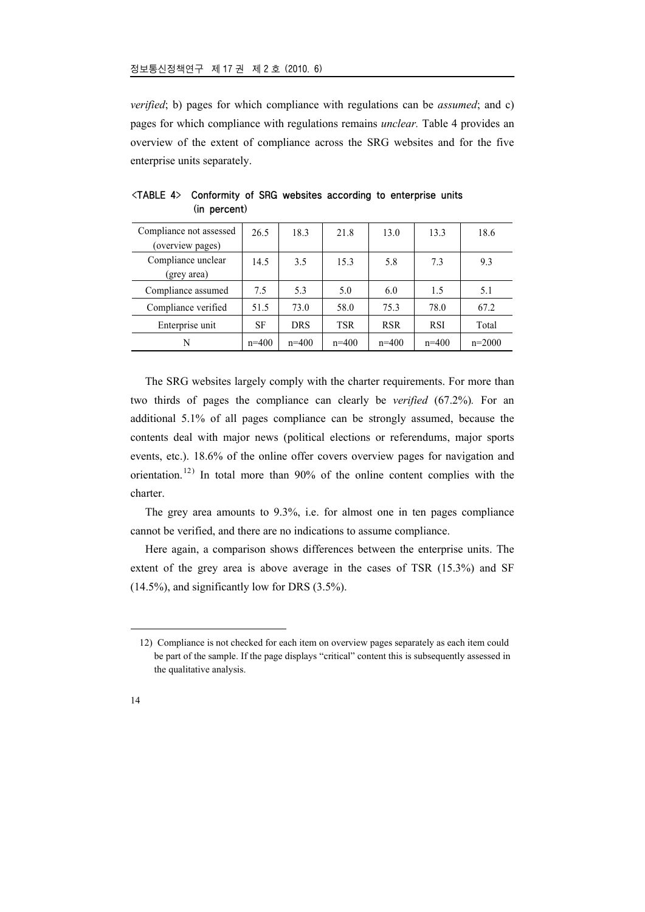*verified*; b) pages for which compliance with regulations can be *assumed*; and c) pages for which compliance with regulations remains *unclear.* Table 4 provides an overview of the extent of compliance across the SRG websites and for the five enterprise units separately.

| Compliance not assessed<br>(overview pages) | 26.5    | 18.3       | 21.8    | 13.0       | 13.3       | 18.6     |
|---------------------------------------------|---------|------------|---------|------------|------------|----------|
| Compliance unclear<br>(grey area)           | 14.5    | 3.5        | 15.3    | 5.8        | 7.3        | 9.3      |
| Compliance assumed                          | 7.5     | 5.3        | 5.0     | 6.0        | 1.5        | 5.1      |
| Compliance verified                         | 51.5    | 73.0       | 58.0    | 75.3       | 78.0       | 67.2     |
| Enterprise unit                             | SF      | <b>DRS</b> | TSR     | <b>RSR</b> | <b>RSI</b> | Total    |
| N                                           | $n=400$ | $n=400$    | $n=400$ | $n=400$    | $n=400$    | $n=2000$ |

<TABLE 4> Conformity of SRG websites according to enterprise units (in percent)

The SRG websites largely comply with the charter requirements. For more than two thirds of pages the compliance can clearly be *verified* (67.2%)*.* For an additional 5.1% of all pages compliance can be strongly assumed, because the contents deal with major news (political elections or referendums, major sports events, etc.). 18.6% of the online offer covers overview pages for navigation and orientation.<sup>12)</sup> In total more than  $90\%$  of the online content complies with the charter.

The grey area amounts to 9.3%, i.e. for almost one in ten pages compliance cannot be verified, and there are no indications to assume compliance.

Here again, a comparison shows differences between the enterprise units. The extent of the grey area is above average in the cases of TSR (15.3%) and SF (14.5%), and significantly low for DRS (3.5%).

<sup>12)</sup> Compliance is not checked for each item on overview pages separately as each item could be part of the sample. If the page displays "critical" content this is subsequently assessed in the qualitative analysis.

<sup>14</sup>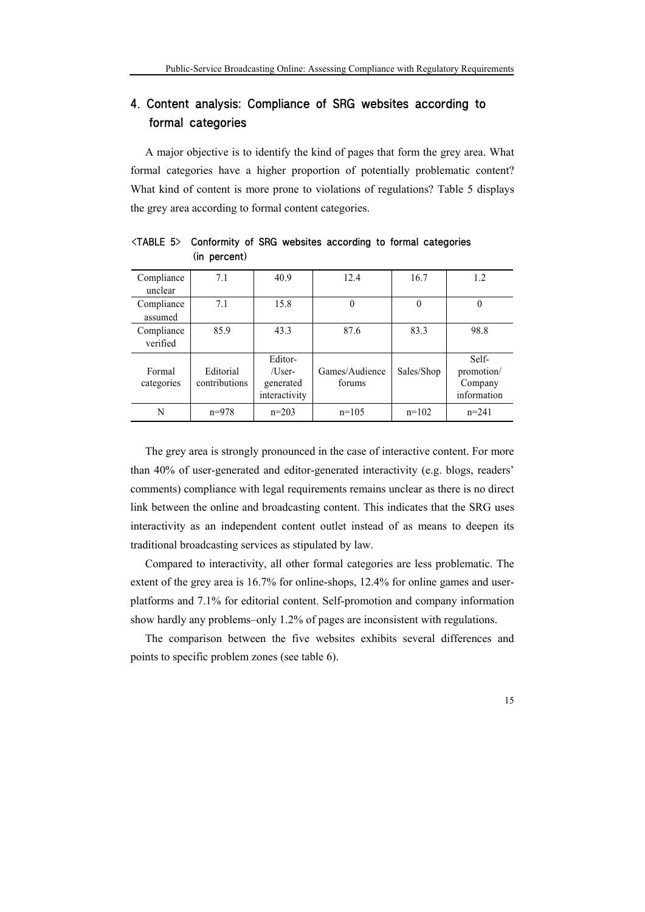# 4. Content analysis: Compliance of SRG websites according to formal categories

A major objective is to identify the kind of pages that form the grey area. What formal categories have a higher proportion of potentially problematic content? What kind of content is more prone to violations of regulations? Table 5 displays the grey area according to formal content categories.

| Compliance | 7.1           | 40.9          | 12.4           | 16.7         | 1.2         |
|------------|---------------|---------------|----------------|--------------|-------------|
| unclear    |               |               |                |              |             |
| Compliance | 7.1           | 15.8          | $\theta$       | $\mathbf{0}$ | $\theta$    |
| assumed    |               |               |                |              |             |
| Compliance | 85.9          | 43.3          | 87.6           | 83.3         | 98.8        |
| verified   |               |               |                |              |             |
|            |               | Editor-       |                |              | Self-       |
| Formal     | Editorial     | /User-        | Games/Audience | Sales/Shop   | promotion/  |
| categories | contributions | generated     | forums         |              | Company     |
|            |               | interactivity |                |              | information |
| N          | $n=978$       | $n=203$       | $n=105$        | $n=102$      | $n = 241$   |

<TABLE 5> Conformity of SRG websites according to formal categories (in percent)

The grey area is strongly pronounced in the case of interactive content. For more than 40% of user-generated and editor-generated interactivity (e.g. blogs, readers' comments) compliance with legal requirements remains unclear as there is no direct link between the online and broadcasting content. This indicates that the SRG uses interactivity as an independent content outlet instead of as means to deepen its traditional broadcasting services as stipulated by law.

Compared to interactivity, all other formal categories are less problematic. The extent of the grey area is 16.7% for online-shops, 12.4% for online games and userplatforms and 7.1% for editorial content. Self-promotion and company information show hardly any problems–only 1.2% of pages are inconsistent with regulations.

The comparison between the five websites exhibits several differences and points to specific problem zones (see table 6).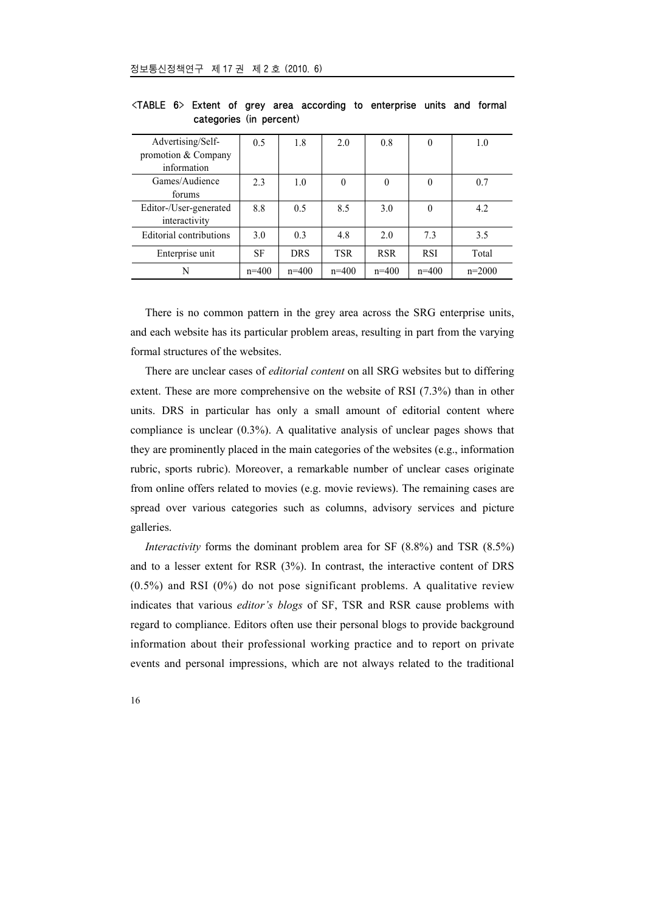| Advertising/Self-<br>promotion & Company | 0.5     | 1.8        | 2.0        | 0.8        | $\theta$   | 1.0      |
|------------------------------------------|---------|------------|------------|------------|------------|----------|
| information                              |         |            |            |            |            |          |
| Games/Audience                           | 2.3     | 1.0        | $\theta$   | $\theta$   | $\theta$   | 0.7      |
| forums                                   |         |            |            |            |            |          |
| Editor-/User-generated<br>interactivity  | 8.8     | 0.5        | 8.5        | 3.0        | $\theta$   | 4.2      |
| Editorial contributions                  | 3.0     | 0.3        | 4.8        | 2.0        | 73         | 3.5      |
| Enterprise unit                          | SF      | <b>DRS</b> | <b>TSR</b> | <b>RSR</b> | <b>RSI</b> | Total    |
| N                                        | $n=400$ | $n=400$    | $n=400$    | $n=400$    | $n=400$    | $n=2000$ |

<TABLE 6> Extent of grey area according to enterprise units and formal categories (in percent)

There is no common pattern in the grey area across the SRG enterprise units, and each website has its particular problem areas, resulting in part from the varying formal structures of the websites.

There are unclear cases of *editorial content* on all SRG websites but to differing extent. These are more comprehensive on the website of RSI (7.3%) than in other units. DRS in particular has only a small amount of editorial content where compliance is unclear (0.3%). A qualitative analysis of unclear pages shows that they are prominently placed in the main categories of the websites (e.g., information rubric, sports rubric). Moreover, a remarkable number of unclear cases originate from online offers related to movies (e.g. movie reviews). The remaining cases are spread over various categories such as columns, advisory services and picture galleries.

*Interactivity* forms the dominant problem area for SF (8.8%) and TSR (8.5%) and to a lesser extent for RSR (3%). In contrast, the interactive content of DRS  $(0.5\%)$  and RSI  $(0\%)$  do not pose significant problems. A qualitative review indicates that various *editor's blogs* of SF, TSR and RSR cause problems with regard to compliance. Editors often use their personal blogs to provide background information about their professional working practice and to report on private events and personal impressions, which are not always related to the traditional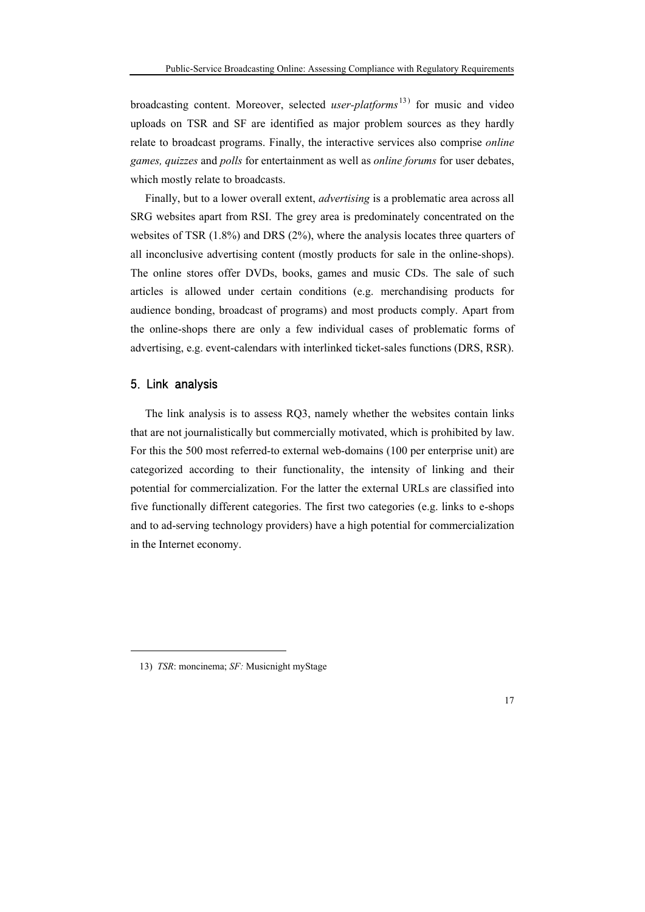broadcasting content. Moreover, selected *user-platforms* 13) for music and video uploads on TSR and SF are identified as major problem sources as they hardly relate to broadcast programs. Finally, the interactive services also comprise *online games, quizzes* and *polls* for entertainment as well as *online forums* for user debates, which mostly relate to broadcasts.

Finally, but to a lower overall extent, *advertising* is a problematic area across all SRG websites apart from RSI. The grey area is predominately concentrated on the websites of TSR (1.8%) and DRS (2%), where the analysis locates three quarters of all inconclusive advertising content (mostly products for sale in the online-shops). The online stores offer DVDs, books, games and music CDs. The sale of such articles is allowed under certain conditions (e.g. merchandising products for audience bonding, broadcast of programs) and most products comply. Apart from the online-shops there are only a few individual cases of problematic forms of advertising, e.g. event-calendars with interlinked ticket-sales functions (DRS, RSR).

### 5. Link analysis

1

The link analysis is to assess RQ3, namely whether the websites contain links that are not journalistically but commercially motivated, which is prohibited by law. For this the 500 most referred-to external web-domains (100 per enterprise unit) are categorized according to their functionality, the intensity of linking and their potential for commercialization. For the latter the external URLs are classified into five functionally different categories. The first two categories (e.g. links to e-shops and to ad-serving technology providers) have a high potential for commercialization in the Internet economy.

<sup>13)</sup> *TSR*: moncinema; *SF:* Musicnight myStage

<sup>17</sup>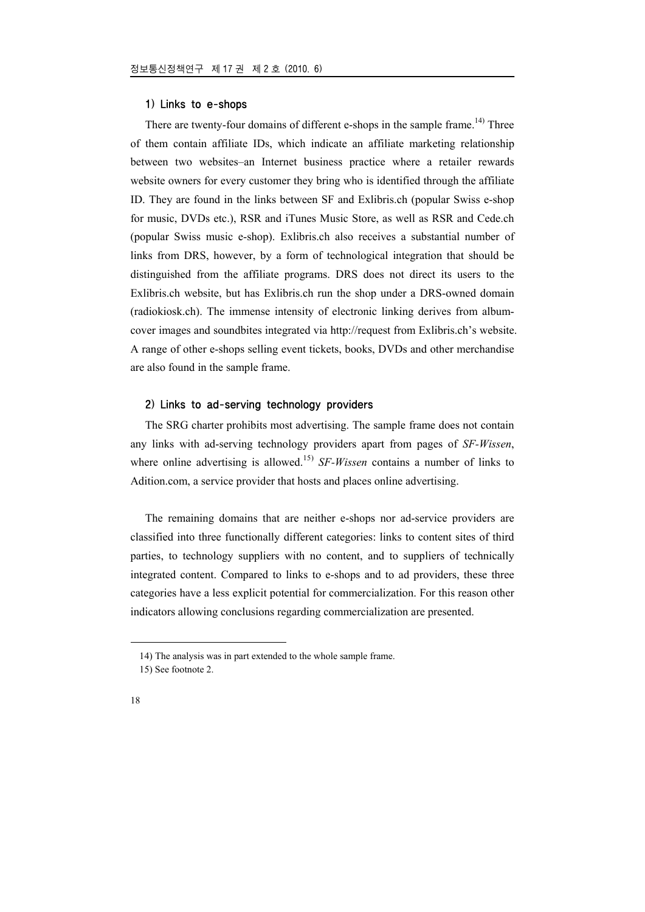#### 1) Links to e-shops

There are twenty-four domains of different e-shops in the sample frame.<sup>14)</sup> Three of them contain affiliate IDs, which indicate an affiliate marketing relationship between two websites–an Internet business practice where a retailer rewards website owners for every customer they bring who is identified through the affiliate ID. They are found in the links between SF and Exlibris.ch (popular Swiss e-shop for music, DVDs etc.), RSR and iTunes Music Store, as well as RSR and Cede.ch (popular Swiss music e-shop). Exlibris.ch also receives a substantial number of links from DRS, however, by a form of technological integration that should be distinguished from the affiliate programs. DRS does not direct its users to the Exlibris.ch website, but has Exlibris.ch run the shop under a DRS-owned domain (radiokiosk.ch). The immense intensity of electronic linking derives from albumcover images and soundbites integrated via http://request from Exlibris.ch's website. A range of other e-shops selling event tickets, books, DVDs and other merchandise are also found in the sample frame.

### 2) Links to ad-serving technology providers

The SRG charter prohibits most advertising. The sample frame does not contain any links with ad-serving technology providers apart from pages of *SF-Wissen*, where online advertising is allowed.<sup>15)</sup> *SF-Wissen* contains a number of links to Adition.com, a service provider that hosts and places online advertising.

The remaining domains that are neither e-shops nor ad-service providers are classified into three functionally different categories: links to content sites of third parties, to technology suppliers with no content, and to suppliers of technically integrated content. Compared to links to e-shops and to ad providers, these three categories have a less explicit potential for commercialization. For this reason other indicators allowing conclusions regarding commercialization are presented.

<sup>14)</sup> The analysis was in part extended to the whole sample frame.

<sup>15)</sup> See footnote 2.

<sup>18</sup>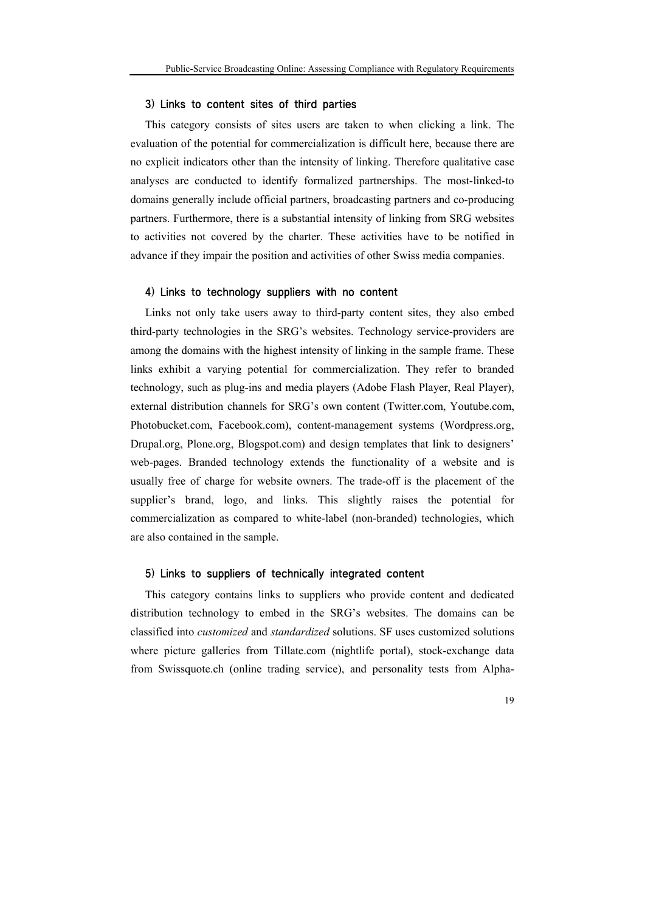### 3) Links to content sites of third parties

This category consists of sites users are taken to when clicking a link. The evaluation of the potential for commercialization is difficult here, because there are no explicit indicators other than the intensity of linking. Therefore qualitative case analyses are conducted to identify formalized partnerships. The most-linked-to domains generally include official partners, broadcasting partners and co-producing partners. Furthermore, there is a substantial intensity of linking from SRG websites to activities not covered by the charter. These activities have to be notified in advance if they impair the position and activities of other Swiss media companies.

### 4) Links to technology suppliers with no content

Links not only take users away to third-party content sites, they also embed third-party technologies in the SRG's websites. Technology service-providers are among the domains with the highest intensity of linking in the sample frame. These links exhibit a varying potential for commercialization. They refer to branded technology, such as plug-ins and media players (Adobe Flash Player, Real Player), external distribution channels for SRG's own content (Twitter.com, Youtube.com, Photobucket.com, Facebook.com), content-management systems (Wordpress.org, Drupal.org, Plone.org, Blogspot.com) and design templates that link to designers' web-pages. Branded technology extends the functionality of a website and is usually free of charge for website owners. The trade-off is the placement of the supplier's brand, logo, and links. This slightly raises the potential for commercialization as compared to white-label (non-branded) technologies, which are also contained in the sample.

### 5) Links to suppliers of technically integrated content

This category contains links to suppliers who provide content and dedicated distribution technology to embed in the SRG's websites. The domains can be classified into *customized* and *standardized* solutions. SF uses customized solutions where picture galleries from Tillate.com (nightlife portal), stock-exchange data from Swissquote.ch (online trading service), and personality tests from Alpha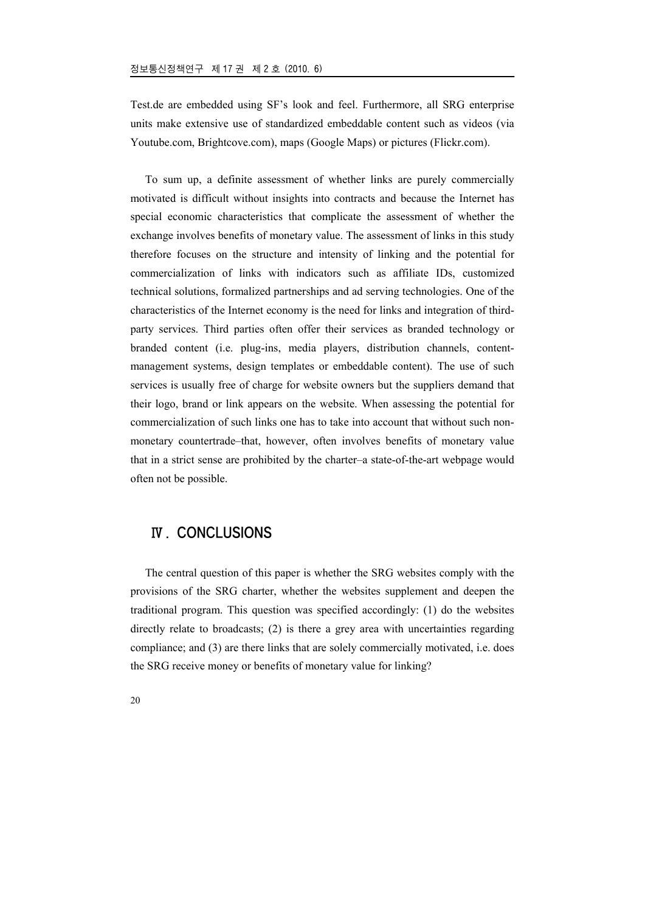Test.de are embedded using SF's look and feel. Furthermore, all SRG enterprise units make extensive use of standardized embeddable content such as videos (via Youtube.com, Brightcove.com), maps (Google Maps) or pictures (Flickr.com).

To sum up, a definite assessment of whether links are purely commercially motivated is difficult without insights into contracts and because the Internet has special economic characteristics that complicate the assessment of whether the exchange involves benefits of monetary value. The assessment of links in this study therefore focuses on the structure and intensity of linking and the potential for commercialization of links with indicators such as affiliate IDs, customized technical solutions, formalized partnerships and ad serving technologies. One of the characteristics of the Internet economy is the need for links and integration of thirdparty services. Third parties often offer their services as branded technology or branded content (i.e. plug-ins, media players, distribution channels, contentmanagement systems, design templates or embeddable content). The use of such services is usually free of charge for website owners but the suppliers demand that their logo, brand or link appears on the website. When assessing the potential for commercialization of such links one has to take into account that without such nonmonetary countertrade–that, however, often involves benefits of monetary value that in a strict sense are prohibited by the charter–a state-of-the-art webpage would often not be possible.

# Ⅳ. CONCLUSIONS

The central question of this paper is whether the SRG websites comply with the provisions of the SRG charter, whether the websites supplement and deepen the traditional program. This question was specified accordingly: (1) do the websites directly relate to broadcasts; (2) is there a grey area with uncertainties regarding compliance; and (3) are there links that are solely commercially motivated, i.e. does the SRG receive money or benefits of monetary value for linking?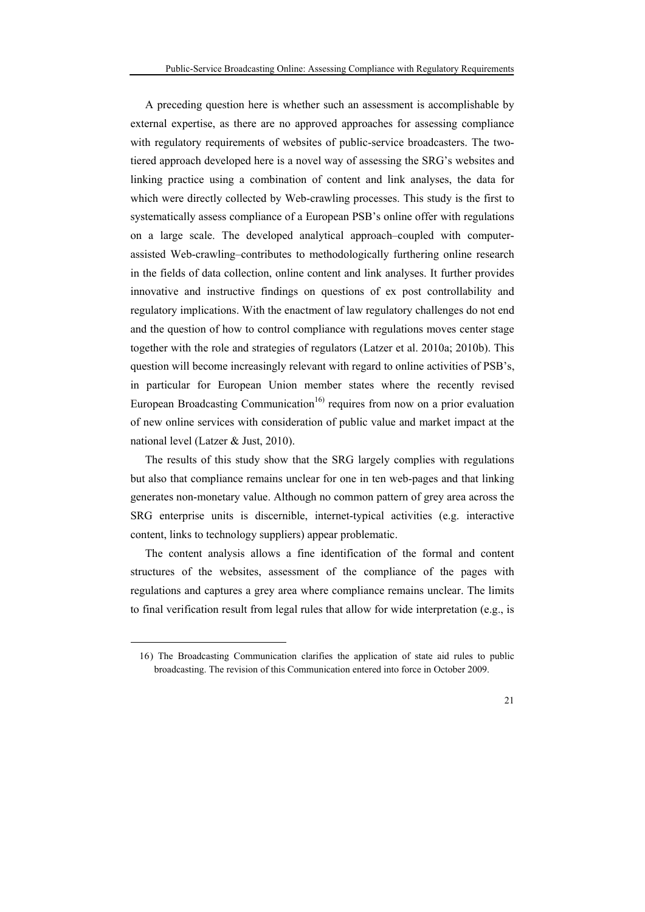A preceding question here is whether such an assessment is accomplishable by external expertise, as there are no approved approaches for assessing compliance with regulatory requirements of websites of public-service broadcasters. The twotiered approach developed here is a novel way of assessing the SRG's websites and linking practice using a combination of content and link analyses, the data for which were directly collected by Web-crawling processes. This study is the first to systematically assess compliance of a European PSB's online offer with regulations on a large scale. The developed analytical approach–coupled with computerassisted Web-crawling–contributes to methodologically furthering online research in the fields of data collection, online content and link analyses. It further provides innovative and instructive findings on questions of ex post controllability and regulatory implications. With the enactment of law regulatory challenges do not end and the question of how to control compliance with regulations moves center stage together with the role and strategies of regulators (Latzer et al. 2010a; 2010b). This question will become increasingly relevant with regard to online activities of PSB's, in particular for European Union member states where the recently revised European Broadcasting Communication<sup>16)</sup> requires from now on a prior evaluation of new online services with consideration of public value and market impact at the national level (Latzer & Just, 2010).

The results of this study show that the SRG largely complies with regulations but also that compliance remains unclear for one in ten web-pages and that linking generates non-monetary value. Although no common pattern of grey area across the SRG enterprise units is discernible, internet-typical activities (e.g. interactive content, links to technology suppliers) appear problematic.

The content analysis allows a fine identification of the formal and content structures of the websites, assessment of the compliance of the pages with regulations and captures a grey area where compliance remains unclear. The limits to final verification result from legal rules that allow for wide interpretation (e.g., is

1

<sup>16)</sup> The Broadcasting Communication clarifies the application of state aid rules to public broadcasting. The revision of this Communication entered into force in October 2009.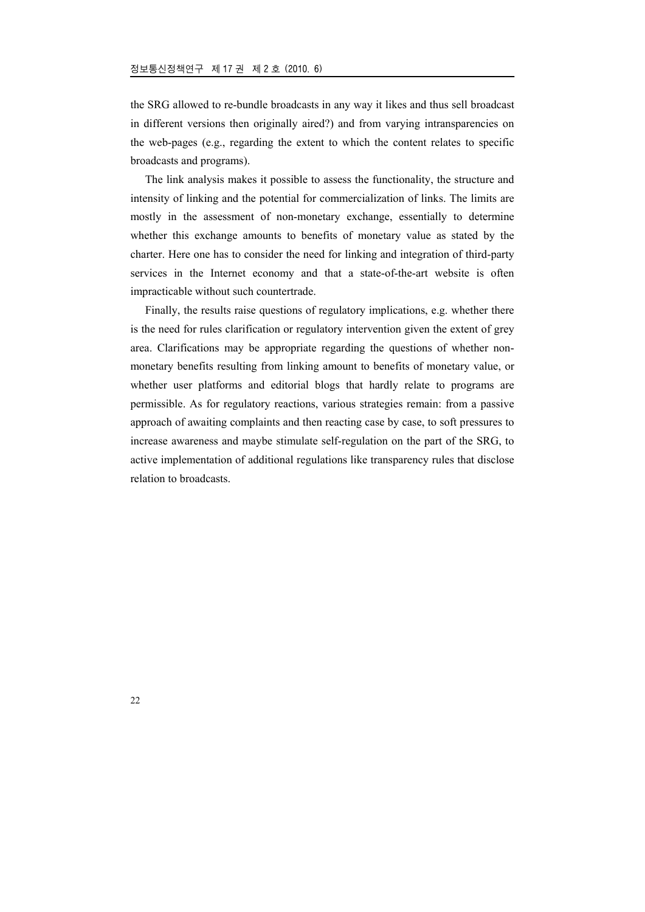the SRG allowed to re-bundle broadcasts in any way it likes and thus sell broadcast in different versions then originally aired?) and from varying intransparencies on the web-pages (e.g., regarding the extent to which the content relates to specific broadcasts and programs).

The link analysis makes it possible to assess the functionality, the structure and intensity of linking and the potential for commercialization of links. The limits are mostly in the assessment of non-monetary exchange, essentially to determine whether this exchange amounts to benefits of monetary value as stated by the charter. Here one has to consider the need for linking and integration of third-party services in the Internet economy and that a state-of-the-art website is often impracticable without such countertrade.

Finally, the results raise questions of regulatory implications, e.g. whether there is the need for rules clarification or regulatory intervention given the extent of grey area. Clarifications may be appropriate regarding the questions of whether nonmonetary benefits resulting from linking amount to benefits of monetary value, or whether user platforms and editorial blogs that hardly relate to programs are permissible. As for regulatory reactions, various strategies remain: from a passive approach of awaiting complaints and then reacting case by case, to soft pressures to increase awareness and maybe stimulate self-regulation on the part of the SRG, to active implementation of additional regulations like transparency rules that disclose relation to broadcasts.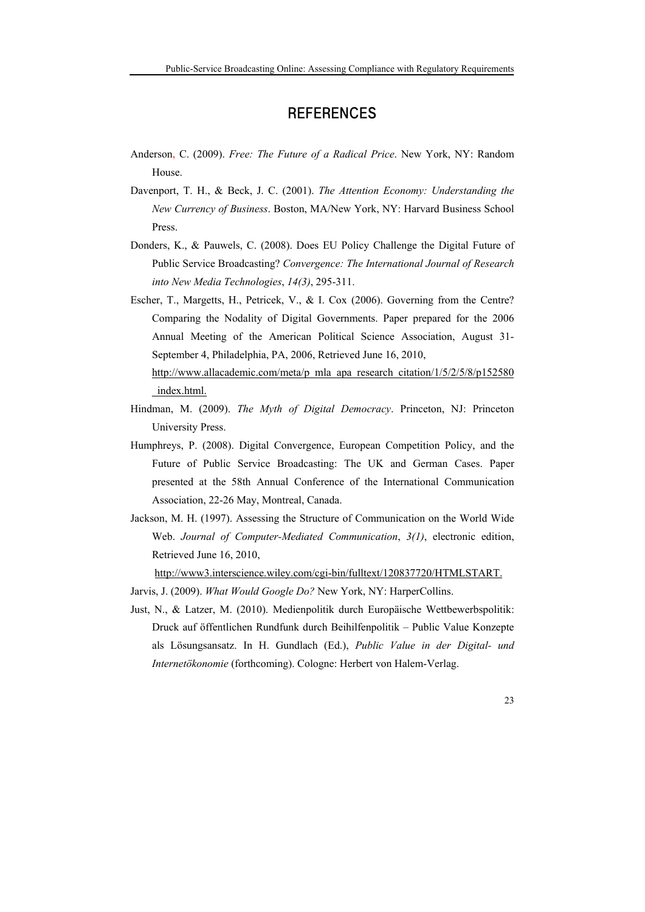# **REFERENCES**

- Anderson, C. (2009). *Free: The Future of a Radical Price*. New York, NY: Random House.
- Davenport, T. H., & Beck, J. C. (2001). *The Attention Economy: Understanding the New Currency of Business*. Boston, MA/New York, NY: Harvard Business School Press.
- Donders, K., & Pauwels, C. (2008). Does EU Policy Challenge the Digital Future of Public Service Broadcasting? *Convergence: The International Journal of Research into New Media Technologies*, *14(3)*, 295-311.
- Escher, T., Margetts, H., Petricek, V., & I. Cox (2006). Governing from the Centre? Comparing the Nodality of Digital Governments. Paper prepared for the 2006 Annual Meeting of the American Political Science Association, August 31- September 4, Philadelphia, PA, 2006, Retrieved June 16, 2010, http://www.allacademic.com/meta/p\_mla\_apa\_research\_citation/1/5/2/5/8/p152580 \_index.html.
- Hindman, M. (2009). *The Myth of Digital Democracy*. Princeton, NJ: Princeton University Press.
- Humphreys, P. (2008). Digital Convergence, European Competition Policy, and the Future of Public Service Broadcasting: The UK and German Cases. Paper presented at the 58th Annual Conference of the International Communication Association, 22-26 May, Montreal, Canada.
- Jackson, M. H. (1997). Assessing the Structure of Communication on the World Wide Web. *Journal of Computer-Mediated Communication*, *3(1)*, electronic edition, Retrieved June 16, 2010,

http://www3.interscience.wiley.com/cgi-bin/fulltext/120837720/HTMLSTART.

- Jarvis, J. (2009). *What Would Google Do?* New York, NY: HarperCollins.
- Just, N., & Latzer, M. (2010). Medienpolitik durch Europäische Wettbewerbspolitik: Druck auf öffentlichen Rundfunk durch Beihilfenpolitik – Public Value Konzepte als Lösungsansatz. In H. Gundlach (Ed.), *Public Value in der Digital- und Internetökonomie* (forthcoming). Cologne: Herbert von Halem-Verlag.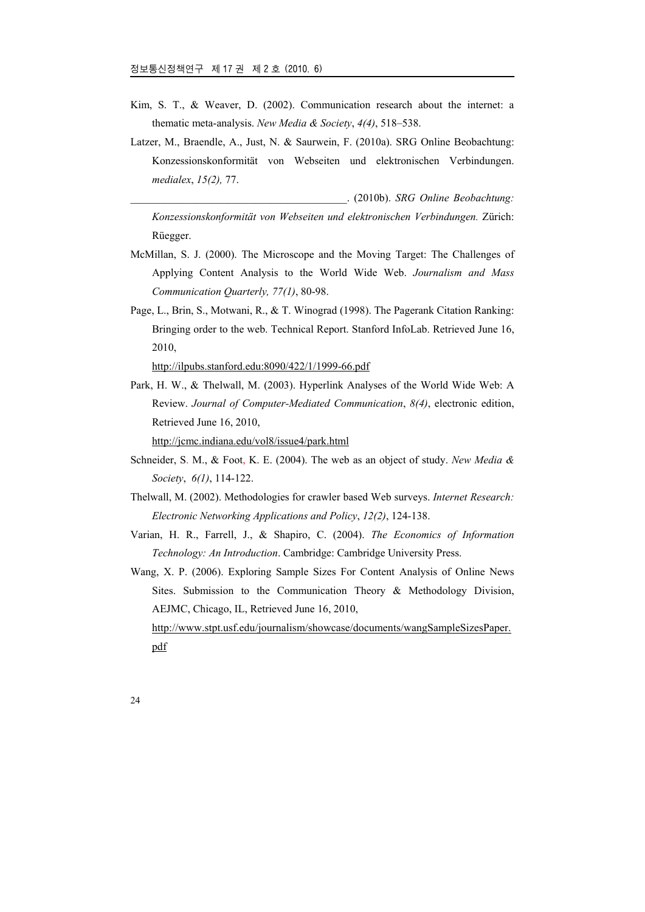- Kim, S. T., & Weaver, D. (2002). Communication research about the internet: a thematic meta-analysis. *New Media & Society*, *4(4)*, 518–538.
- Latzer, M., Braendle, A., Just, N. & Saurwein, F. (2010a). SRG Online Beobachtung: Konzessionskonformität von Webseiten und elektronischen Verbindungen. *medialex*, *15(2),* 77.

\_\_\_\_\_\_\_\_\_\_\_\_\_\_\_\_\_\_\_\_\_\_\_\_\_\_\_\_\_\_\_\_\_\_\_\_\_\_\_\_. (2010b). *SRG Online Beobachtung: Konzessionskonformität von Webseiten und elektronischen Verbindungen.* Zürich: Rüegger.

- McMillan, S. J. (2000). The Microscope and the Moving Target: The Challenges of Applying Content Analysis to the World Wide Web. *Journalism and Mass Communication Quarterly, 77(1)*, 80-98.
- Page, L., Brin, S., Motwani, R., & T. Winograd (1998). The Pagerank Citation Ranking: Bringing order to the web. Technical Report. Stanford InfoLab. Retrieved June 16, 2010,

http://ilpubs.stanford.edu:8090/422/1/1999-66.pdf

Park, H. W., & Thelwall, M. (2003). Hyperlink Analyses of the World Wide Web: A Review. *Journal of Computer-Mediated Communication*, *8(4)*, electronic edition, Retrieved June 16, 2010,

http://jcmc.indiana.edu/vol8/issue4/park.html

- Schneider, S. M., & Foot, K. E. (2004). The web as an object of study. *New Media & Society*, *6(1)*, 114-122.
- Thelwall, M. (2002). Methodologies for crawler based Web surveys. *Internet Research: Electronic Networking Applications and Policy*, *12(2)*, 124-138.
- Varian, H. R., Farrell, J., & Shapiro, C. (2004). *The Economics of Information Technology: An Introduction*. Cambridge: Cambridge University Press.
- Wang, X. P. (2006). Exploring Sample Sizes For Content Analysis of Online News Sites. Submission to the Communication Theory & Methodology Division, AEJMC, Chicago, IL, Retrieved June 16, 2010, http://www.stpt.usf.edu/journalism/showcase/documents/wangSampleSizesPaper. pdf